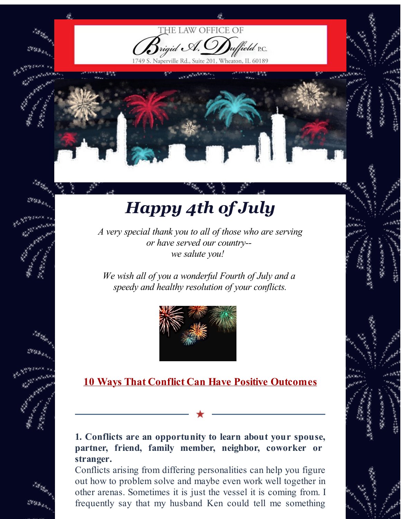

HE LAW OFFICE OF

Naperville Rd., Suite 201, Wheaton, IL 60189

lield P.C.

*A very special thank you to all of those who are serving or have served our country- we salute you!*

*We wish all of you a wonderful Fourth of July and a speedy and healthy resolution of your conflicts.*



# **10 Ways That Conflict Can Have Positive Outcomes**

## **1. Conflicts are an opportunity to learn about your spouse, partner, friend, family member, neighbor, coworker or stranger.**

Conflicts arising from differing personalities can help you figure out how to problem solve and maybe even work well together in other arenas. Sometimes it is just the vessel it is coming from. I frequently say that my husband Ken could tell me something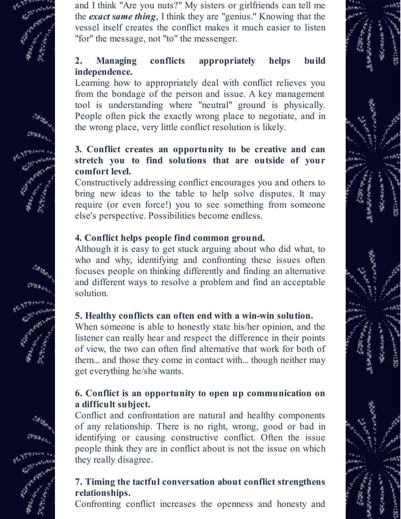

and I think "Are you nuts?" My sisters or girlfriends can tell me the *exact same thing*, I think they are "genius." Knowing that the vessel itself creates the conflict makes it much easier to listen "for" the message, not "to" the messenger.

# **2. Managing conflicts appropriately helps build independence.**

Learning how to appropriately deal with conflict relieves you from the bondage of the person and issue. A key management tool is understanding where "neutral" ground is physically. People often pick the exactly wrong place to negotiate, and in the wrong place, very little conflict resolution is likely.

# **3. Conflict creates an opportunity to be creative and can stretch you to find solutions that are outside of your comfort level.**

Constructively addressing conflict encourages you and others to bring new ideas to the table to help solve disputes. It may require (or even force!) you to see something from someone else's perspective. Possibilities become endless.

# **4. Conflict helps people find common ground.**

Although it is easy to get stuck arguing about who did what, to who and why, identifying and confronting these issues often focuses people on thinking differently and finding an alternative and different ways to resolve a problem and find an acceptable solution.

# **5. Healthy conflicts can often end with a win-win solution.**

When someone is able to honestly state his/her opinion, and the listener can really hear and respect the difference in their points of view, the two can often find alternative that work for both of them... and those they come in contact with... though neither may get everything he/she wants.

# **6. Conflict is an opportunity to open up communication on a difficult subject.**

Conflict and confrontation are natural and healthy components of any relationship. There is no right, wrong, good or bad in identifying or causing constructive conflict. Often the issue people think they are in conflict about is not the issue on which they really disagree.

# **7. Timing the tactful conversation about conflict strengthens relationships.**

Confronting conflict increases the openness and honesty and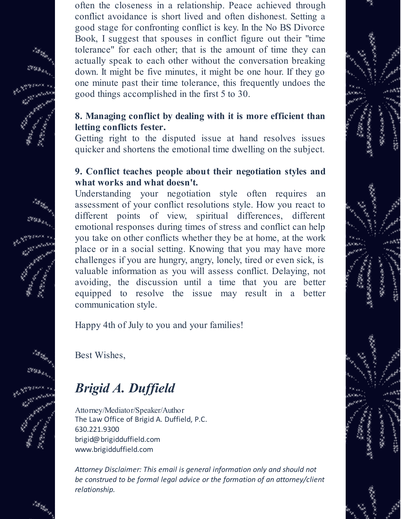often the closeness in a relationship. Peace achieved through conflict avoidance is short lived and often dishonest. Setting a good stage for confronting conflict is key. In the No BS Divorce Book, I suggest that spouses in conflict figure out their "time tolerance" for each other; that is the amount of time they can actually speak to each other without the conversation breaking down. It might be five minutes, it might be one hour. If they go one minute past their time tolerance, this frequently undoes the good things accomplished in the first 5 to 30.

#### **8. Managing conflict by dealing with it is more efficient than letting conflicts fester.**

Getting right to the disputed issue at hand resolves issues quicker and shortens the emotional time dwelling on the subject.

#### **9. Conflict teaches people about their negotiation styles and what works and what doesn't.**

Understanding your negotiation style often requires an assessment of your conflict resolutions style. How you react to different points of view, spiritual differences, different emotional responses during times of stress and conflict can help you take on other conflicts whether they be at home, at the work place or in a social setting. Knowing that you may have more challenges if you are hungry, angry, lonely, tired or even sick, is valuable information as you will assess conflict. Delaying, not avoiding, the discussion until a time that you are better equipped to resolve the issue may result in a better communication style.

Happy 4th of July to you and your families!

Best Wishes,

# *Brigid A. Duf ield*

Attorney/Mediator/Speaker/Author The Law Office of Brigid A. Duffield, P.C. 630.221.9300 brigid@brigidduffield.com www.brigidduffield.com

*Attorney Disclaimer: This email is general information only and should not be construed to be formal legal advice or the formation of an attorney/client relationship.*

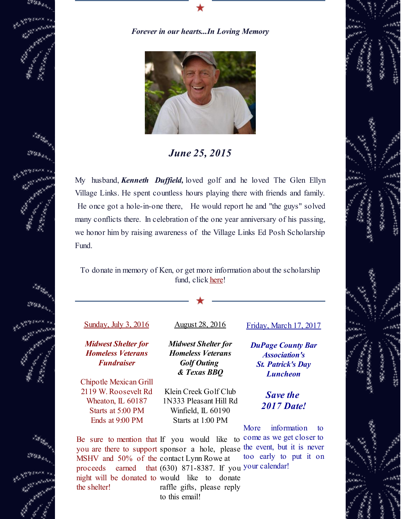

#### *Forever in our hearts...In Loving Memory*



*June 25, 2015*

My husband, *Kenneth Duffield*, loved golf and he loved The Glen Ellyn Village Links. He spent countless hours playing there with friends and family. He once got a hole-in-one there, He would report he and "the guys" solved many conflicts there. In celebration of the one year anniversary of his passing, we honor him by raising awareness of the Village Links Ed Posh Scholarship Fund.

To donate in memory of Ken, or get more information about the scholarship fund, click [here](http://r20.rs6.net/tn.jsp?f=001C1cPrgll46Lgmou0MVKrJQWAVtqz-pAMcU2aql9kjcxKsAzOptoOY1bX2yFT20EuE8hjFRsLlDrfZvGyNnQuJkRx3miZJJWW10Nv2zEOI9w3ag-ReO7boEGHh5KkX7T-tmZtzMo4n3XwokwBI0n8hHMwFH2cy3w5Nt3jpsk4uZzyxTYHAObV5YvE2rWYUKW3TklyKnHSmrE=&c=&ch=)!

#### Sunday, July 3, 2016

*Midwest Shelter for Homeless Veterans Fundraiser*

Chipotle Mexican Grill 2119 W. Roosevelt Rd Wheaton, IL 60187 Starts at 5:00 PM Ends at 9:00 PM

August 28, 2016

*Midwest Shelter for Homeless Veterans Golf Outing & Texas BBQ*

Klein Creek Golf Club 1N333 Pleasant Hill Rd Winfield, IL 60190 Starts at 1:00 PM

Friday, March 17, 2017

*DuPage County Bar Association's St. Patrick's Day Luncheon*

> *Save the 2017 Date!*

More information to too early to put it on

Be sure to mention that If you would like to come as we get closer to you are there to support sponsor a hole, please the event, but it is never MSHV and 50% of the contact Lynn Rowe at proceeds earned that (630) 871-8387. If you your calendar! night will be donated to would like to donate the shelter! raffle gifts, please reply to this email!